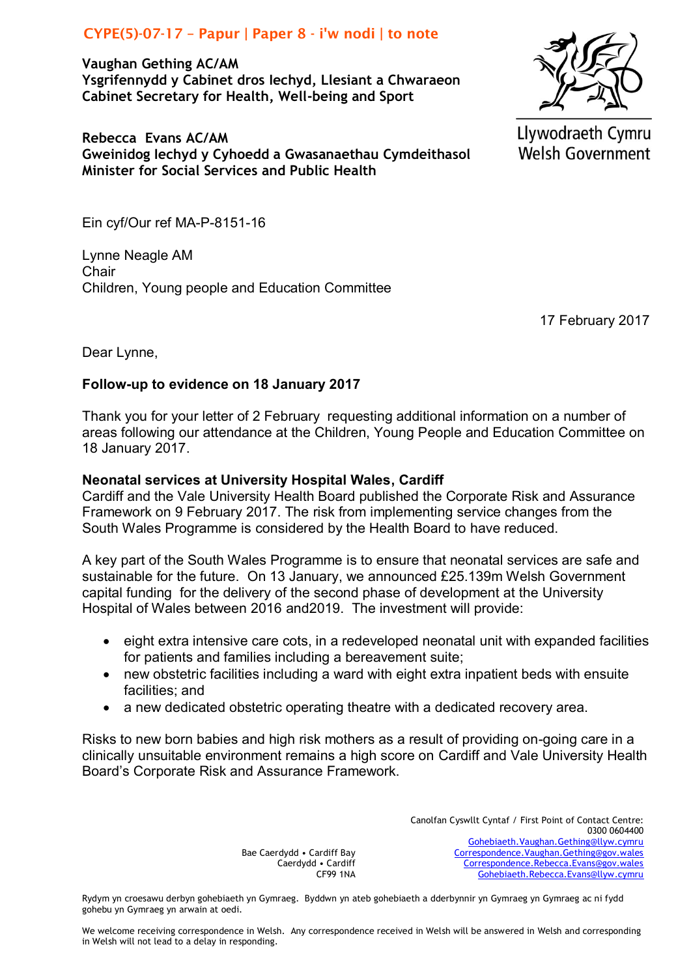# CYPE(5)-07-17 - Papur | Paper  $8 - i'w$  nodi | to note

**Vaughan Gething AC/AM Ysgrifennydd y Cabinet dros Iechyd, Llesiant a Chwaraeon Cabinet Secretary for Health, Well-being and Sport**

**Rebecca Evans AC/AM Gweinidog Iechyd y Cyhoedd a Gwasanaethau Cymdeithasol Minister for Social Services and Public Health**

Llywodraeth Cymru **Welsh Government** 

Ein cyf/Our ref MA-P-8151-16

Lynne Neagle AM **Chair** Children, Young people and Education Committee

17 February 2017

Dear Lynne,

## **Follow-up to evidence on 18 January 2017**

Thank you for your letter of 2 February requesting additional information on a number of areas following our attendance at the Children, Young People and Education Committee on 18 January 2017.

## **Neonatal services at University Hospital Wales, Cardiff**

Cardiff and the Vale University Health Board published the Corporate Risk and Assurance Framework on 9 February 2017. The risk from implementing service changes from the South Wales Programme is considered by the Health Board to have reduced.

A key part of the South Wales Programme is to ensure that neonatal services are safe and sustainable for the future. On 13 January, we announced £25.139m Welsh Government capital funding for the delivery of the second phase of development at the University Hospital of Wales between 2016 and2019. The investment will provide:

- eight extra intensive care cots, in a redeveloped neonatal unit with expanded facilities for patients and families including a bereavement suite;
- new obstetric facilities including a ward with eight extra inpatient beds with ensuite facilities; and
- a new dedicated obstetric operating theatre with a dedicated recovery area.

Risks to new born babies and high risk mothers as a result of providing on-going care in a clinically unsuitable environment remains a high score on Cardiff and Vale University Health Board's Corporate Risk and Assurance Framework.

> Bae Caerdydd • Cardiff Bay Caerdydd • Cardiff CF99 1NA

Canolfan Cyswllt Cyntaf / First Point of Contact Centre: 0300 0604400 [Gohebiaeth.Vaughan.Gething@llyw.cymru](mailto:Gohebiaeth.Vaughan.Gething@llyw.cymru) [Correspondence.Vaughan.Gething@gov.wales](mailto:Correspondence.Vaughan.Gething@gov.wales) [Correspondence.Rebecca.Evans@gov.wales](mailto:Correspondence.Rebecca.Evans@gov.wales) [Gohebiaeth.Rebecca.Evans@llyw.cymru](mailto:Gohebiaeth.Rebecca.Evans@llyw.cymru)

Rydym yn croesawu derbyn gohebiaeth yn Gymraeg. Byddwn yn ateb gohebiaeth a dderbynnir yn Gymraeg yn Gymraeg ac ni fydd gohebu yn Gymraeg yn arwain at oedi.

We welcome receiving correspondence in Welsh. Any correspondence received in Welsh will be answered in Welsh and corresponding in Welsh will not lead to a delay in responding.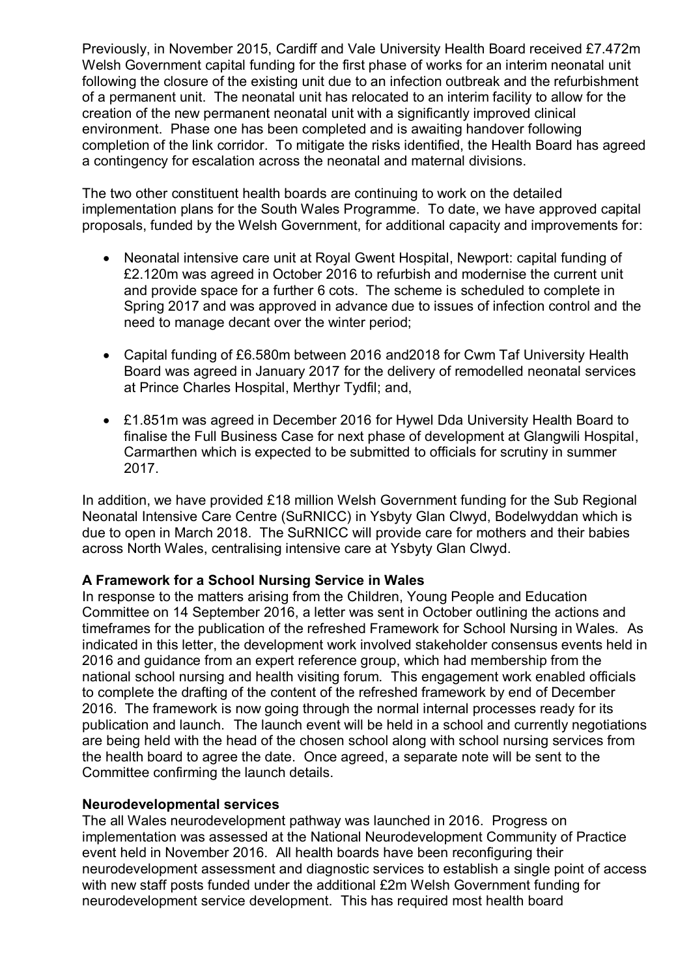Previously, in November 2015, Cardiff and Vale University Health Board received £7.472m Welsh Government capital funding for the first phase of works for an interim neonatal unit following the closure of the existing unit due to an infection outbreak and the refurbishment of a permanent unit. The neonatal unit has relocated to an interim facility to allow for the creation of the new permanent neonatal unit with a significantly improved clinical environment. Phase one has been completed and is awaiting handover following completion of the link corridor. To mitigate the risks identified, the Health Board has agreed a contingency for escalation across the neonatal and maternal divisions.

The two other constituent health boards are continuing to work on the detailed implementation plans for the South Wales Programme. To date, we have approved capital proposals, funded by the Welsh Government, for additional capacity and improvements for:

- Neonatal intensive care unit at Royal Gwent Hospital, Newport: capital funding of £2.120m was agreed in October 2016 to refurbish and modernise the current unit and provide space for a further 6 cots. The scheme is scheduled to complete in Spring 2017 and was approved in advance due to issues of infection control and the need to manage decant over the winter period;
- Capital funding of £6.580m between 2016 and2018 for Cwm Taf University Health Board was agreed in January 2017 for the delivery of remodelled neonatal services at Prince Charles Hospital, Merthyr Tydfil; and,
- £1.851m was agreed in December 2016 for Hywel Dda University Health Board to finalise the Full Business Case for next phase of development at Glangwili Hospital, Carmarthen which is expected to be submitted to officials for scrutiny in summer 2017.

In addition, we have provided £18 million Welsh Government funding for the Sub Regional Neonatal Intensive Care Centre (SuRNICC) in Ysbyty Glan Clwyd, Bodelwyddan which is due to open in March 2018. The SuRNICC will provide care for mothers and their babies across North Wales, centralising intensive care at Ysbyty Glan Clwyd.

## **A Framework for a School Nursing Service in Wales**

In response to the matters arising from the Children, Young People and Education Committee on 14 September 2016, a letter was sent in October outlining the actions and timeframes for the publication of the refreshed Framework for School Nursing in Wales. As indicated in this letter, the development work involved stakeholder consensus events held in 2016 and guidance from an expert reference group, which had membership from the national school nursing and health visiting forum. This engagement work enabled officials to complete the drafting of the content of the refreshed framework by end of December 2016. The framework is now going through the normal internal processes ready for its publication and launch. The launch event will be held in a school and currently negotiations are being held with the head of the chosen school along with school nursing services from the health board to agree the date. Once agreed, a separate note will be sent to the Committee confirming the launch details.

## **Neurodevelopmental services**

The all Wales neurodevelopment pathway was launched in 2016. Progress on implementation was assessed at the National Neurodevelopment Community of Practice event held in November 2016. All health boards have been reconfiguring their neurodevelopment assessment and diagnostic services to establish a single point of access with new staff posts funded under the additional £2m Welsh Government funding for neurodevelopment service development. This has required most health board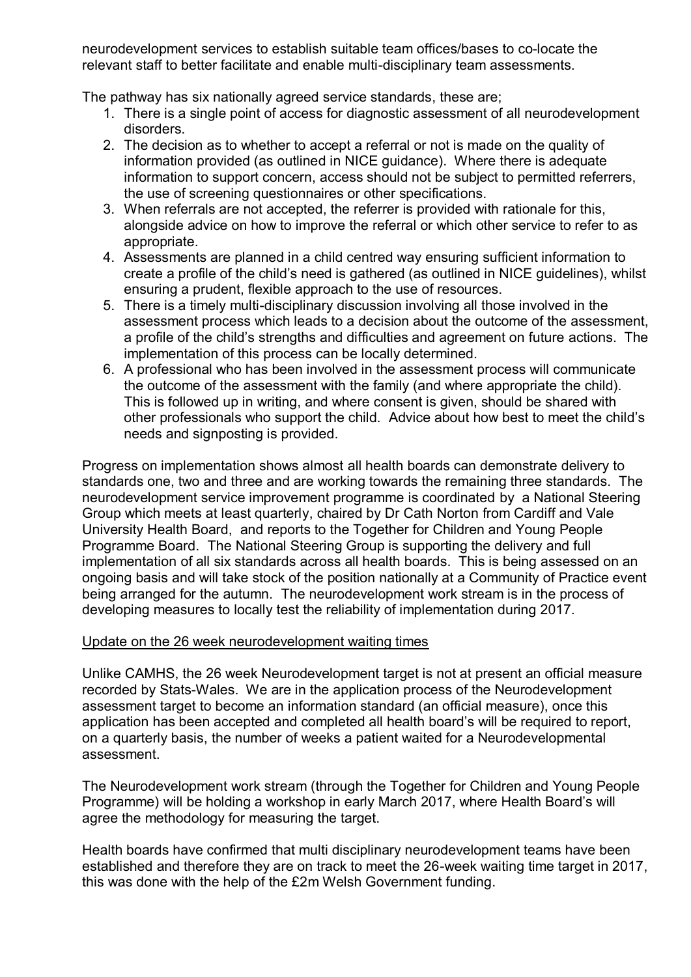neurodevelopment services to establish suitable team offices/bases to co-locate the relevant staff to better facilitate and enable multi-disciplinary team assessments.

The pathway has six nationally agreed service standards, these are;

- 1. There is a single point of access for diagnostic assessment of all neurodevelopment disorders.
- 2. The decision as to whether to accept a referral or not is made on the quality of information provided (as outlined in NICE guidance). Where there is adequate information to support concern, access should not be subject to permitted referrers, the use of screening questionnaires or other specifications.
- 3. When referrals are not accepted, the referrer is provided with rationale for this, alongside advice on how to improve the referral or which other service to refer to as appropriate.
- 4. Assessments are planned in a child centred way ensuring sufficient information to create a profile of the child's need is gathered (as outlined in NICE guidelines), whilst ensuring a prudent, flexible approach to the use of resources.
- 5. There is a timely multi-disciplinary discussion involving all those involved in the assessment process which leads to a decision about the outcome of the assessment, a profile of the child's strengths and difficulties and agreement on future actions. The implementation of this process can be locally determined.
- 6. A professional who has been involved in the assessment process will communicate the outcome of the assessment with the family (and where appropriate the child). This is followed up in writing, and where consent is given, should be shared with other professionals who support the child. Advice about how best to meet the child's needs and signposting is provided.

Progress on implementation shows almost all health boards can demonstrate delivery to standards one, two and three and are working towards the remaining three standards. The neurodevelopment service improvement programme is coordinated by a National Steering Group which meets at least quarterly, chaired by Dr Cath Norton from Cardiff and Vale University Health Board, and reports to the Together for Children and Young People Programme Board. The National Steering Group is supporting the delivery and full implementation of all six standards across all health boards. This is being assessed on an ongoing basis and will take stock of the position nationally at a Community of Practice event being arranged for the autumn. The neurodevelopment work stream is in the process of developing measures to locally test the reliability of implementation during 2017.

## Update on the 26 week neurodevelopment waiting times

Unlike CAMHS, the 26 week Neurodevelopment target is not at present an official measure recorded by Stats-Wales. We are in the application process of the Neurodevelopment assessment target to become an information standard (an official measure), once this application has been accepted and completed all health board's will be required to report, on a quarterly basis, the number of weeks a patient waited for a Neurodevelopmental assessment.

The Neurodevelopment work stream (through the Together for Children and Young People Programme) will be holding a workshop in early March 2017, where Health Board's will agree the methodology for measuring the target.

Health boards have confirmed that multi disciplinary neurodevelopment teams have been established and therefore they are on track to meet the 26-week waiting time target in 2017, this was done with the help of the £2m Welsh Government funding.